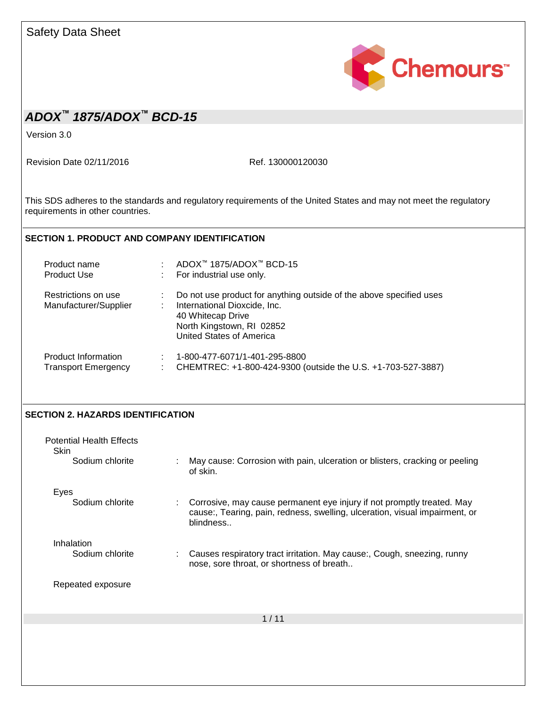| <b>Safety Data Sheet</b>                                   |                                                                                                                                                                                                            |
|------------------------------------------------------------|------------------------------------------------------------------------------------------------------------------------------------------------------------------------------------------------------------|
|                                                            | Chemours <sup>*</sup>                                                                                                                                                                                      |
| ADOX <sup>™</sup> 1875/ADOX™ BCD-15                        |                                                                                                                                                                                                            |
| Version 3.0                                                |                                                                                                                                                                                                            |
| Revision Date 02/11/2016                                   | Ref. 130000120030                                                                                                                                                                                          |
| requirements in other countries.                           | This SDS adheres to the standards and regulatory requirements of the United States and may not meet the regulatory                                                                                         |
| <b>SECTION 1. PRODUCT AND COMPANY IDENTIFICATION</b>       |                                                                                                                                                                                                            |
| Product name<br>Product Use                                | : ADOX™ 1875/ADOX™ BCD-15<br>: For industrial use only.                                                                                                                                                    |
| Restrictions on use<br>Manufacturer/Supplier               | Do not use product for anything outside of the above specified uses<br>International Dioxcide, Inc.<br>$\mathbb{Z}^+$<br>40 Whitecap Drive<br>North Kingstown, RI 02852<br><b>United States of America</b> |
| Product Information<br>Transport Emergency :               | $: 1 - 800 - 477 - 6071/1 - 401 - 295 - 8800$<br>CHEMTREC: +1-800-424-9300 (outside the U.S. +1-703-527-3887)                                                                                              |
| <b>SECTION 2. HAZARDS IDENTIFICATION</b>                   |                                                                                                                                                                                                            |
| <b>Potential Health Effects</b><br>Skin<br>Sodium chlorite | May cause: Corrosion with pain, ulceration or blisters, cracking or peeling<br>÷                                                                                                                           |
|                                                            | of skin.                                                                                                                                                                                                   |
| Eyes<br>Sodium chlorite                                    | Corrosive, may cause permanent eye injury if not promptly treated. May<br>cause:, Tearing, pain, redness, swelling, ulceration, visual impairment, or<br>blindness                                         |
| Inhalation<br>Sodium chlorite                              | Causes respiratory tract irritation. May cause:, Cough, sneezing, runny<br>÷<br>nose, sore throat, or shortness of breath                                                                                  |
| Repeated exposure                                          |                                                                                                                                                                                                            |
|                                                            | 1/11                                                                                                                                                                                                       |
|                                                            |                                                                                                                                                                                                            |
|                                                            |                                                                                                                                                                                                            |
|                                                            |                                                                                                                                                                                                            |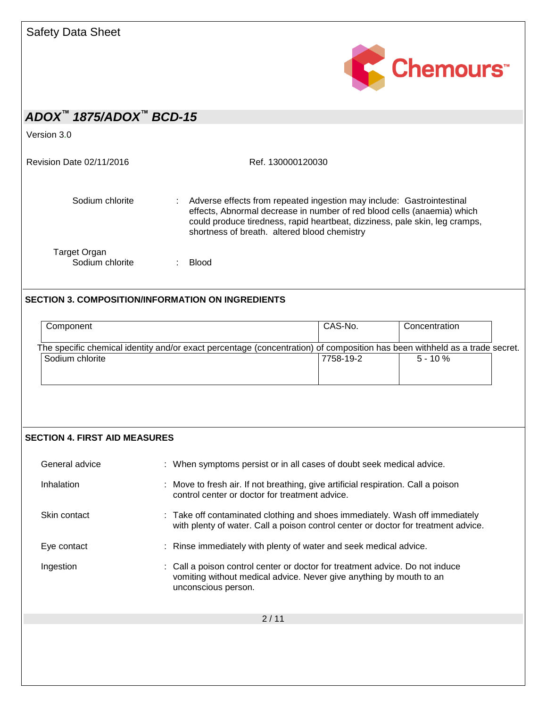

Version 3.0

Revision Date 02/11/2016 Ref. 130000120030

Sodium chlorite : Adverse effects from repeated ingestion may include: Gastrointestinal effects, Abnormal decrease in number of red blood cells (anaemia) which could produce tiredness, rapid heartbeat, dizziness, pale skin, leg cramps, shortness of breath. altered blood chemistry Target Organ

Sodium chlorite : Blood

### **SECTION 3. COMPOSITION/INFORMATION ON INGREDIENTS**

| Component                                                                                                                  | CAS-No.   | Concentration |  |
|----------------------------------------------------------------------------------------------------------------------------|-----------|---------------|--|
| The specific chemical identity and/or exact percentage (concentration) of composition has been withheld as a trade secret. |           |               |  |
| Sodium chlorite                                                                                                            | 7758-19-2 | $5 - 10 \%$   |  |
|                                                                                                                            |           |               |  |
|                                                                                                                            |           |               |  |

#### **SECTION 4. FIRST AID MEASURES**

| General advice | : When symptoms persist or in all cases of doubt seek medical advice.                                                                                                      |
|----------------|----------------------------------------------------------------------------------------------------------------------------------------------------------------------------|
| Inhalation     | : Move to fresh air. If not breathing, give artificial respiration. Call a poison<br>control center or doctor for treatment advice.                                        |
| Skin contact   | : Take off contaminated clothing and shoes immediately. Wash off immediately<br>with plenty of water. Call a poison control center or doctor for treatment advice.         |
| Eye contact    | : Rinse immediately with plenty of water and seek medical advice.                                                                                                          |
| Ingestion      | : Call a poison control center or doctor for treatment advice. Do not induce<br>vomiting without medical advice. Never give anything by mouth to an<br>unconscious person. |
|                | 2/11                                                                                                                                                                       |
|                |                                                                                                                                                                            |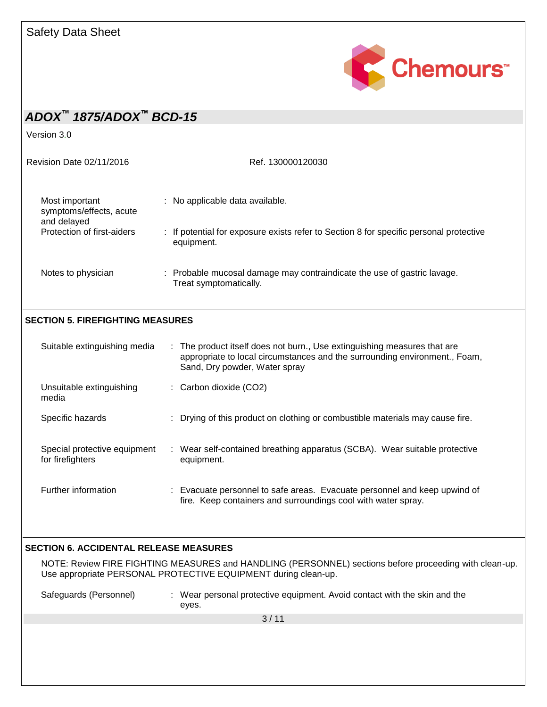

Version 3.0

| Revision Date 02/11/2016                                 | Ref. 130000120030                                                                                    |
|----------------------------------------------------------|------------------------------------------------------------------------------------------------------|
| Most important<br>symptoms/effects, acute<br>and delayed | : No applicable data available.                                                                      |
| Protection of first-aiders                               | : If potential for exposure exists refer to Section 8 for specific personal protective<br>equipment. |
| Notes to physician                                       | : Probable mucosal damage may contraindicate the use of gastric lavage.<br>Treat symptomatically.    |

### **SECTION 5. FIREFIGHTING MEASURES**

| Suitable extinguishing media                     | : The product itself does not burn., Use extinguishing measures that are<br>appropriate to local circumstances and the surrounding environment., Foam,<br>Sand, Dry powder, Water spray |
|--------------------------------------------------|-----------------------------------------------------------------------------------------------------------------------------------------------------------------------------------------|
| Unsuitable extinguishing<br>media                | $\therefore$ Carbon dioxide (CO2)                                                                                                                                                       |
| Specific hazards                                 | : Drying of this product on clothing or combustible materials may cause fire.                                                                                                           |
| Special protective equipment<br>for firefighters | : Wear self-contained breathing apparatus (SCBA). Wear suitable protective<br>equipment.                                                                                                |
| Further information                              | : Evacuate personnel to safe areas. Evacuate personnel and keep upwind of<br>fire. Keep containers and surroundings cool with water spray.                                              |

#### **SECTION 6. ACCIDENTAL RELEASE MEASURES**

NOTE: Review FIRE FIGHTING MEASURES and HANDLING (PERSONNEL) sections before proceeding with clean-up. Use appropriate PERSONAL PROTECTIVE EQUIPMENT during clean-up.

Safeguards (Personnel) : Wear personal protective equipment. Avoid contact with the skin and the eyes.

3 / 11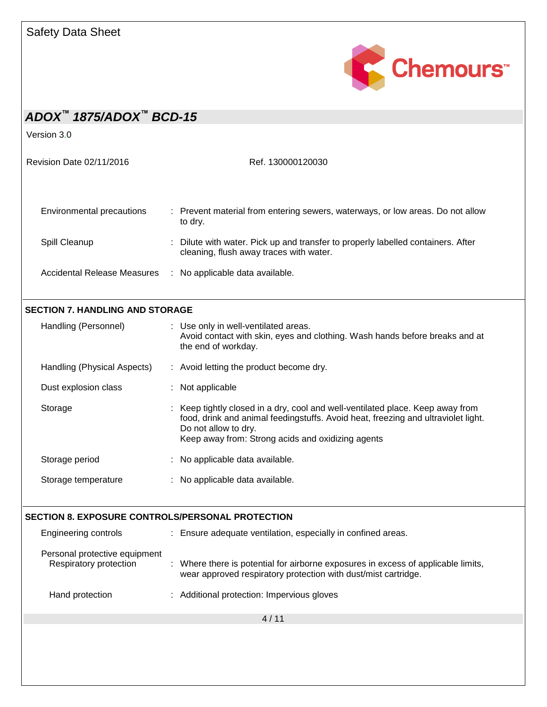

| $ADOX^{\text{M}}$ 1875/ADOX <sup><math>\text{M}</math></sup> BCD-15 |                                                                                                                                                                                                                                                |
|---------------------------------------------------------------------|------------------------------------------------------------------------------------------------------------------------------------------------------------------------------------------------------------------------------------------------|
| Version 3.0                                                         |                                                                                                                                                                                                                                                |
| Revision Date 02/11/2016                                            | Ref. 130000120030                                                                                                                                                                                                                              |
| Environmental precautions                                           | : Prevent material from entering sewers, waterways, or low areas. Do not allow<br>to dry.                                                                                                                                                      |
| Spill Cleanup                                                       | Dilute with water. Pick up and transfer to properly labelled containers. After<br>cleaning, flush away traces with water.                                                                                                                      |
| <b>Accidental Release Measures</b>                                  | : No applicable data available.                                                                                                                                                                                                                |
| <b>SECTION 7. HANDLING AND STORAGE</b>                              |                                                                                                                                                                                                                                                |
| Handling (Personnel)                                                | : Use only in well-ventilated areas.<br>Avoid contact with skin, eyes and clothing. Wash hands before breaks and at<br>the end of workday.                                                                                                     |
| Handling (Physical Aspects)                                         | : Avoid letting the product become dry.                                                                                                                                                                                                        |
| Dust explosion class                                                | : Not applicable                                                                                                                                                                                                                               |
| Storage                                                             | Keep tightly closed in a dry, cool and well-ventilated place. Keep away from<br>food, drink and animal feedingstuffs. Avoid heat, freezing and ultraviolet light.<br>Do not allow to dry.<br>Keep away from: Strong acids and oxidizing agents |
| Storage period                                                      | : No applicable data available.                                                                                                                                                                                                                |
| Storage temperature                                                 | No applicable data available.                                                                                                                                                                                                                  |
| <b>SECTION 8. EXPOSURE CONTROLS/PERSONAL PROTECTION</b>             |                                                                                                                                                                                                                                                |
| Engineering controls                                                | : Ensure adequate ventilation, especially in confined areas.                                                                                                                                                                                   |
| Personal protective equipment<br>Respiratory protection             | Where there is potential for airborne exposures in excess of applicable limits,<br>wear approved respiratory protection with dust/mist cartridge.                                                                                              |
| Hand protection                                                     | Additional protection: Impervious gloves                                                                                                                                                                                                       |
|                                                                     | 4/11                                                                                                                                                                                                                                           |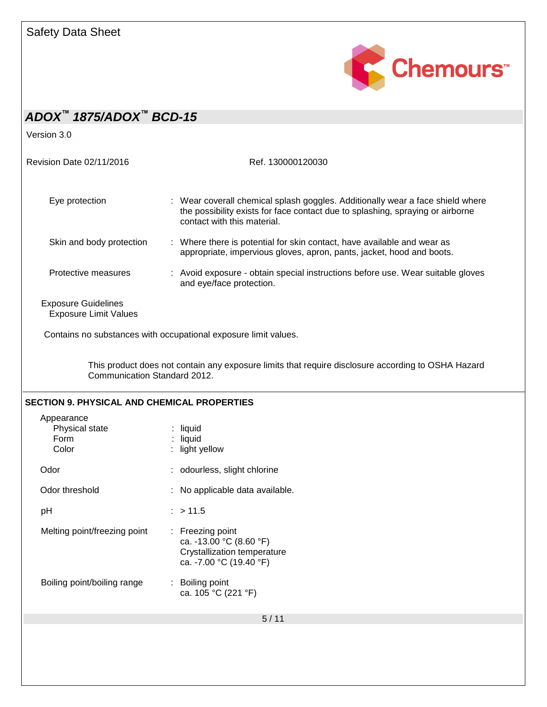

| ADOX <sup>™</sup> 1875/ADOX™ BCD-15                        |                                                                                                                                                                                                 |
|------------------------------------------------------------|-------------------------------------------------------------------------------------------------------------------------------------------------------------------------------------------------|
| Version 3.0                                                |                                                                                                                                                                                                 |
| Revision Date 02/11/2016                                   | Ref. 130000120030                                                                                                                                                                               |
| Eye protection                                             | : Wear coverall chemical splash goggles. Additionally wear a face shield where<br>the possibility exists for face contact due to splashing, spraying or airborne<br>contact with this material. |
| Skin and body protection                                   | : Where there is potential for skin contact, have available and wear as<br>appropriate, impervious gloves, apron, pants, jacket, hood and boots.                                                |
| Protective measures                                        | : Avoid exposure - obtain special instructions before use. Wear suitable gloves<br>and eye/face protection.                                                                                     |
| <b>Exposure Guidelines</b><br><b>Exposure Limit Values</b> |                                                                                                                                                                                                 |
|                                                            | Contains no substances with occupational exposure limit values.                                                                                                                                 |
|                                                            |                                                                                                                                                                                                 |
| Communication Standard 2012.                               | This product does not contain any exposure limits that require disclosure according to OSHA Hazard                                                                                              |
| <b>SECTION 9. PHYSICAL AND CHEMICAL PROPERTIES</b>         |                                                                                                                                                                                                 |
| Appearance<br>Physical state<br>Form<br>Color              | $:$ liquid<br>: liquid<br>: light yellow                                                                                                                                                        |
| Odor                                                       | : odourless, slight chlorine                                                                                                                                                                    |
| Odor threshold                                             | : No applicable data available.                                                                                                                                                                 |
| pH                                                         | : > 11.5                                                                                                                                                                                        |
| Melting point/freezing point                               | : Freezing point<br>ca. -13.00 °C (8.60 °F)<br>Crystallization temperature<br>ca. -7.00 °C (19.40 °F)                                                                                           |
| Boiling point/boiling range                                | : Boiling point<br>ca. 105 °C (221 °F)                                                                                                                                                          |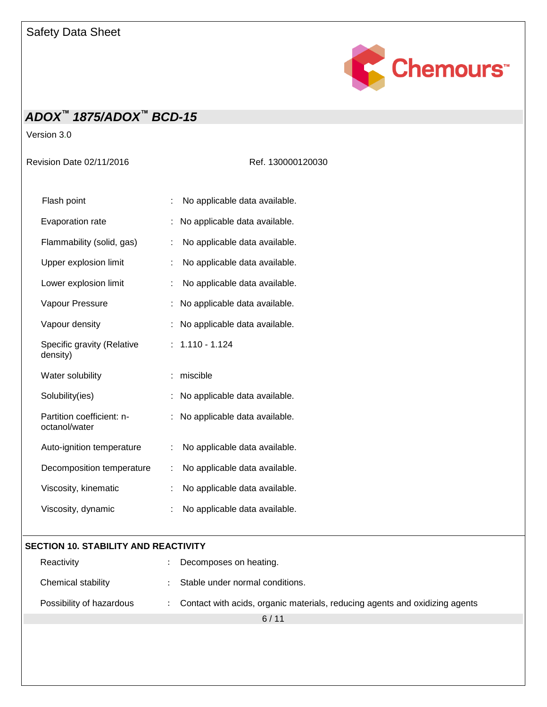

Version 3.0

Revision Date 02/11/2016 Ref. 130000120030

| Flash point                                |    | No applicable data available. |
|--------------------------------------------|----|-------------------------------|
| Evaporation rate                           |    | No applicable data available. |
| Flammability (solid, gas)                  | t  | No applicable data available. |
| Upper explosion limit                      |    | No applicable data available. |
| Lower explosion limit                      |    | No applicable data available. |
| Vapour Pressure                            |    | No applicable data available. |
| Vapour density                             |    | No applicable data available. |
| Specific gravity (Relative<br>density)     |    | $: 1.110 - 1.124$             |
| Water solubility                           |    | miscible                      |
| Solubility(ies)                            | t  | No applicable data available. |
| Partition coefficient: n-<br>octanol/water |    | No applicable data available. |
| Auto-ignition temperature                  | t  | No applicable data available. |
| Decomposition temperature                  | :  | No applicable data available. |
| Viscosity, kinematic                       | İ. | No applicable data available. |
| Viscosity, dynamic                         | t  | No applicable data available. |

### **SECTION 10. STABILITY AND REACTIVITY**

| Reactivity               | Decomposes on heating.                                                        |
|--------------------------|-------------------------------------------------------------------------------|
| Chemical stability       | Stable under normal conditions.                                               |
| Possibility of hazardous | : Contact with acids, organic materials, reducing agents and oxidizing agents |
|                          | 6/11                                                                          |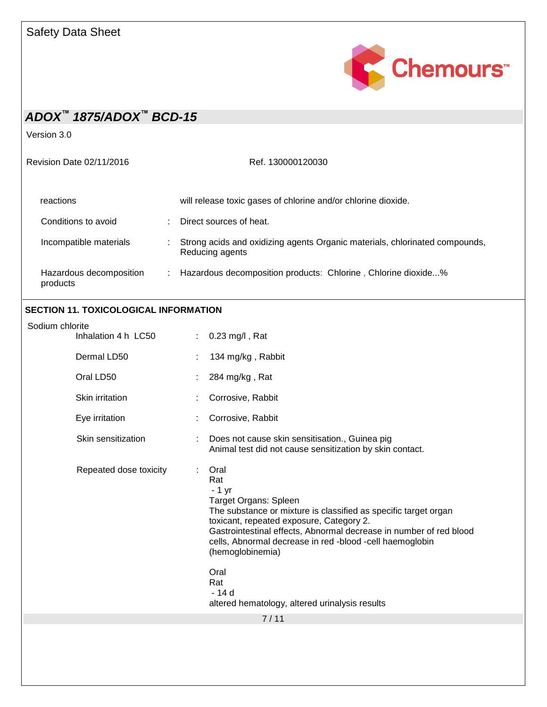

Version 3.0

| Revision Date 02/11/2016            |  | Ref. 130000120030                                                                              |  |
|-------------------------------------|--|------------------------------------------------------------------------------------------------|--|
| reactions                           |  | will release toxic gases of chlorine and/or chlorine dioxide.                                  |  |
| Conditions to avoid                 |  | Direct sources of heat.                                                                        |  |
| Incompatible materials              |  | Strong acids and oxidizing agents Organic materials, chlorinated compounds,<br>Reducing agents |  |
| Hazardous decomposition<br>products |  | Hazardous decomposition products: Chlorine, Chlorine dioxide%                                  |  |
|                                     |  |                                                                                                |  |

### **SECTION 11. TOXICOLOGICAL INFORMATION**

| Sodium chlorite<br>Inhalation 4 h LC50 |                                                                                                                                                                                                                                                                                                                                                                                                      |
|----------------------------------------|------------------------------------------------------------------------------------------------------------------------------------------------------------------------------------------------------------------------------------------------------------------------------------------------------------------------------------------------------------------------------------------------------|
|                                        | 0.23 mg/l, Rat<br>÷                                                                                                                                                                                                                                                                                                                                                                                  |
| Dermal LD50                            | 134 mg/kg, Rabbit                                                                                                                                                                                                                                                                                                                                                                                    |
| Oral LD50                              | 284 mg/kg, Rat                                                                                                                                                                                                                                                                                                                                                                                       |
| Skin irritation                        | Corrosive, Rabbit                                                                                                                                                                                                                                                                                                                                                                                    |
| Eye irritation                         | Corrosive, Rabbit                                                                                                                                                                                                                                                                                                                                                                                    |
| Skin sensitization                     | Does not cause skin sensitisation., Guinea pig<br>Animal test did not cause sensitization by skin contact.                                                                                                                                                                                                                                                                                           |
| Repeated dose toxicity                 | Oral<br>÷<br>Rat<br>$-1$ yr<br>Target Organs: Spleen<br>The substance or mixture is classified as specific target organ<br>toxicant, repeated exposure, Category 2.<br>Gastrointestinal effects, Abnormal decrease in number of red blood<br>cells, Abnormal decrease in red -blood -cell haemoglobin<br>(hemoglobinemia)<br>Oral<br>Rat<br>- 14 d<br>altered hematology, altered urinalysis results |
|                                        | 7/11                                                                                                                                                                                                                                                                                                                                                                                                 |
|                                        |                                                                                                                                                                                                                                                                                                                                                                                                      |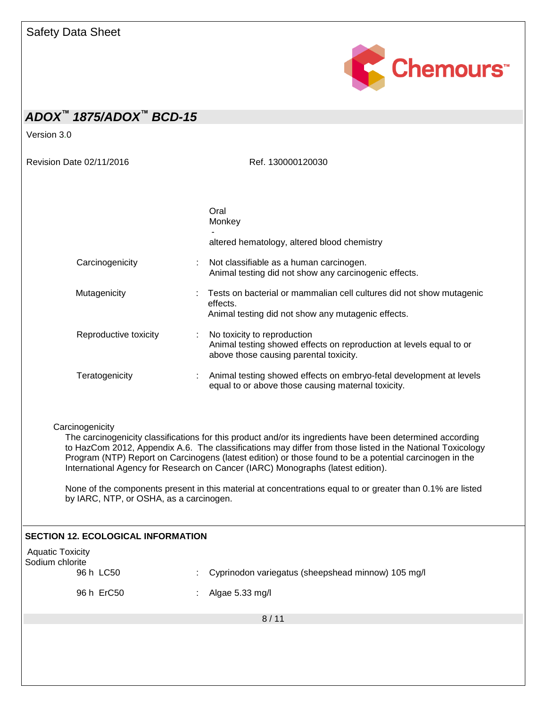

Version 3.0

Revision Date 02/11/2016 Ref. 130000120030

|                       | Oral<br>Monkey<br>altered hematology, altered blood chemistry                                                                                  |
|-----------------------|------------------------------------------------------------------------------------------------------------------------------------------------|
| Carcinogenicity       | : Not classifiable as a human carcinogen.<br>Animal testing did not show any carcinogenic effects.                                             |
| Mutagenicity          | Tests on bacterial or mammalian cell cultures did not show mutagenic<br>effects.<br>Animal testing did not show any mutagenic effects.         |
| Reproductive toxicity | : No toxicity to reproduction<br>Animal testing showed effects on reproduction at levels equal to or<br>above those causing parental toxicity. |
| Teratogenicity        | Animal testing showed effects on embryo-fetal development at levels<br>equal to or above those causing maternal toxicity.                      |

**Carcinogenicity** 

The carcinogenicity classifications for this product and/or its ingredients have been determined according to HazCom 2012, Appendix A.6. The classifications may differ from those listed in the National Toxicology Program (NTP) Report on Carcinogens (latest edition) or those found to be a potential carcinogen in the International Agency for Research on Cancer (IARC) Monographs (latest edition).

None of the components present in this material at concentrations equal to or greater than 0.1% are listed by IARC, NTP, or OSHA, as a carcinogen.

| <b>SECTION 12. ECOLOGICAL INFORMATION</b>               |                                                          |  |
|---------------------------------------------------------|----------------------------------------------------------|--|
| <b>Aquatic Toxicity</b><br>Sodium chlorite<br>96 h LC50 | Cyprinodon variegatus (sheepshead minnow) 105 mg/l<br>÷. |  |
| 96 h ErC50                                              | Algae 5.33 mg/l<br>÷.                                    |  |
|                                                         | 8/11                                                     |  |
|                                                         |                                                          |  |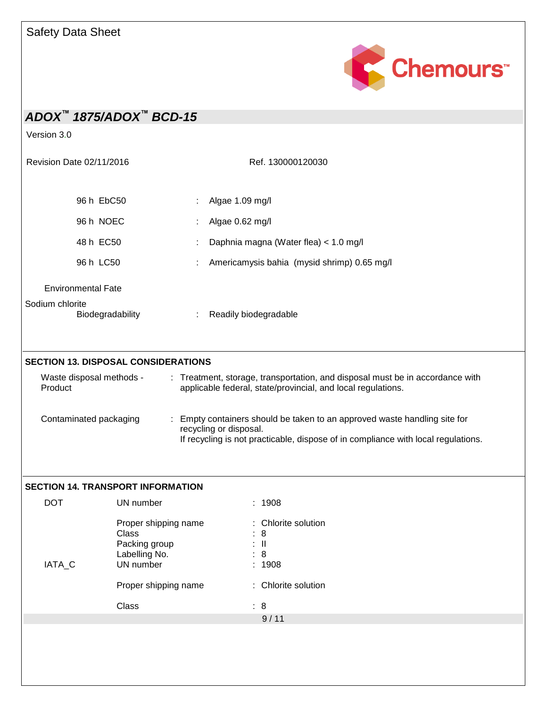

|                                                                                                 | ADOX <sup>™</sup> 1875/ADOX™ BCD-15                             |                                                                                                         |                                            |
|-------------------------------------------------------------------------------------------------|-----------------------------------------------------------------|---------------------------------------------------------------------------------------------------------|--------------------------------------------|
| Version 3.0                                                                                     |                                                                 |                                                                                                         |                                            |
| Revision Date 02/11/2016                                                                        |                                                                 | Ref. 130000120030                                                                                       |                                            |
|                                                                                                 | 96 h EbC50                                                      | Algae 1.09 mg/l                                                                                         |                                            |
| 96 h NOEC                                                                                       |                                                                 | Algae 0.62 mg/l<br>Daphnia magna (Water flea) < 1.0 mg/l<br>Americamysis bahia (mysid shrimp) 0.65 mg/l |                                            |
| 48 h EC50<br>96 h LC50<br><b>Environmental Fate</b><br>Sodium chlorite<br>Biodegradability<br>÷ |                                                                 |                                                                                                         |                                            |
|                                                                                                 |                                                                 |                                                                                                         |                                            |
|                                                                                                 |                                                                 | Waste disposal methods -<br>Product<br>Contaminated packaging                                           | <b>SECTION 13. DISPOSAL CONSIDERATIONS</b> |
|                                                                                                 | <b>SECTION 14. TRANSPORT INFORMATION</b>                        |                                                                                                         |                                            |
| <b>DOT</b>                                                                                      | UN number                                                       | : 1908                                                                                                  |                                            |
|                                                                                                 | Proper shipping name<br>Class<br>Packing group<br>Labelling No. | : Chlorite solution<br>8<br>$\mathbf{I}$<br>8<br>1908                                                   |                                            |
| IATA_C                                                                                          | UN number                                                       |                                                                                                         |                                            |
|                                                                                                 | Proper shipping name                                            | : Chlorite solution                                                                                     |                                            |
|                                                                                                 | Class                                                           | : 8<br>9/11                                                                                             |                                            |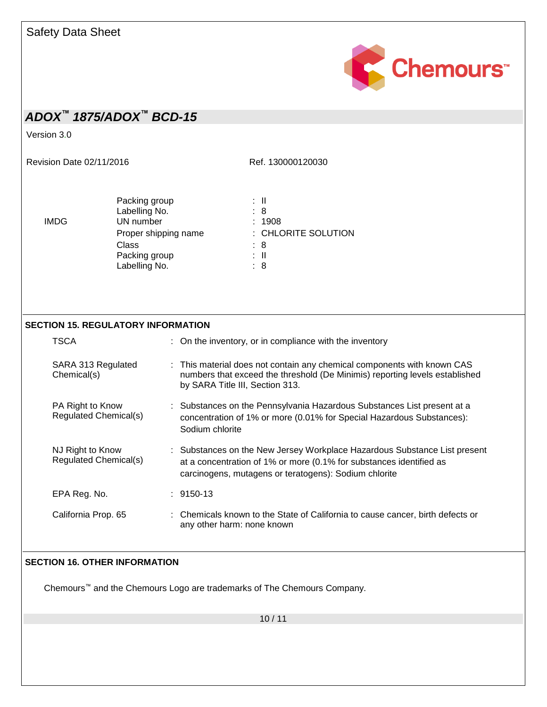

Version 3.0

Revision Date 02/11/2016 Ref. 130000120030

Packing group : II<br>
Labelling No. : 8 Labelling No.<br>
UN number : 8<br>
UN number : 1908 IMDG UN number Class : 8 Packing group the set of the set of the set of the set of the set of the set of the set of the set of the set o Labelling No.  $\qquad \qquad : 8$ 

Proper shipping name : CHLORITE SOLUTION

### **SECTION 15. REGULATORY INFORMATION**

| TSCA                                      | : On the inventory, or in compliance with the inventory                                                                                                                                                   |
|-------------------------------------------|-----------------------------------------------------------------------------------------------------------------------------------------------------------------------------------------------------------|
| SARA 313 Regulated<br>Chemical(s)         | : This material does not contain any chemical components with known CAS<br>numbers that exceed the threshold (De Minimis) reporting levels established<br>by SARA Title III, Section 313.                 |
| PA Right to Know<br>Regulated Chemical(s) | : Substances on the Pennsylvania Hazardous Substances List present at a<br>concentration of 1% or more (0.01% for Special Hazardous Substances):<br>Sodium chlorite                                       |
| NJ Right to Know<br>Regulated Chemical(s) | : Substances on the New Jersey Workplace Hazardous Substance List present<br>at a concentration of 1% or more (0.1% for substances identified as<br>carcinogens, mutagens or teratogens): Sodium chlorite |
| EPA Reg. No.                              | : 9150-13                                                                                                                                                                                                 |
| California Prop. 65                       | : Chemicals known to the State of California to cause cancer, birth defects or<br>any other harm: none known                                                                                              |

### **SECTION 16. OTHER INFORMATION**

Chemours™ and the Chemours Logo are trademarks of The Chemours Company.

10 / 11